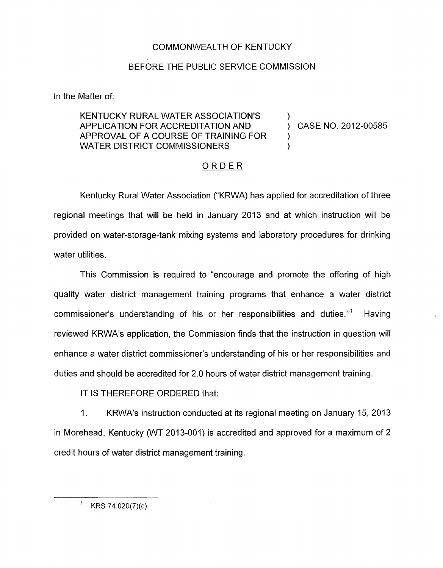## COMMONWEALTH OF KENTUCKY

## BEFORE THE PUBLIC SERVICE COMMISSION

In the Matter of:

## KENTUCKY RURAL WATER ASSOCIATION'S )<br>APPLICATION FOR ACCREDITATION AND ) CASE NO. 2012-00585 APPROVAL OF A COURSE OF TRAINING FOR  $\qquad$  ) WATER DISTRICT COMMISSIONERS FATION AND<br>TRAINING<br>DNERS<br><u>ORDER</u>

Kentucky Rural Water Association ("KRWA) has applied for accreditation of three regional meetings that will be held in January 2013 and at which instruction will be provided on water-storage-tank mixing systems and laboratory procedures for drinking water utilities.

This Commission is required to "encourage and promote the offering of high quality water district management training programs that enhance a water district commissioner's understanding of his or her responsibilities and duties."' Having reviewed KRWA's application, the Commission finds that the instruction in question will enhance a water district commissioner's understanding of his or her responsibilities and duties and should be accredited for 2.0 hours of water district management training.

IT IS THEREFORE ORDERED that:

1. KRWA's instruction conducted at its regional meeting on January 15, 2013 in Morehead, Kentucky (WT 2013-001) is accredited and approved for a maximum of 2 credit hours of water district management training.

KRS 74.020(7)(c).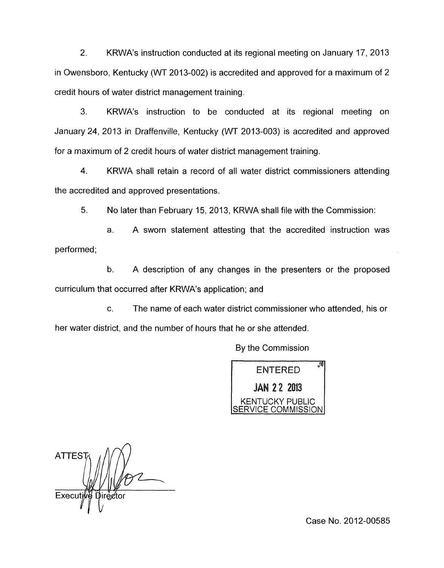2. KRWA's instruction conducted at its regional meeting on January 17, 2013 in Owensboro, Kentucky (WT 2013-002) is accredited and approved for a maximum of 2 credit hours of water district management training.

3. KRWA's instruction to be conducted at its regional meeting on January 24, 2013 in Draffenville, Kentucky (WT 2013-003) is accredited and approved for a maximum of 2 credit hours of water district management training.

4. KRWA shall retain a record of all water district commissioners attending the accredited and approved presentations.

5. No later than February 15, 2013, KRWA shall file with the Commission:

a. A sworn statement attesting that the accredited instruction was performed;

b. A description of any changes in the presenters or the proposed curriculum that occurred after KRWA's application; and

C. The name of each water district commissioner who attended, his or her water district, and the number of hours that he or she attended.

By the Commission



**ATTES** Execut

Case No. 2012-00585